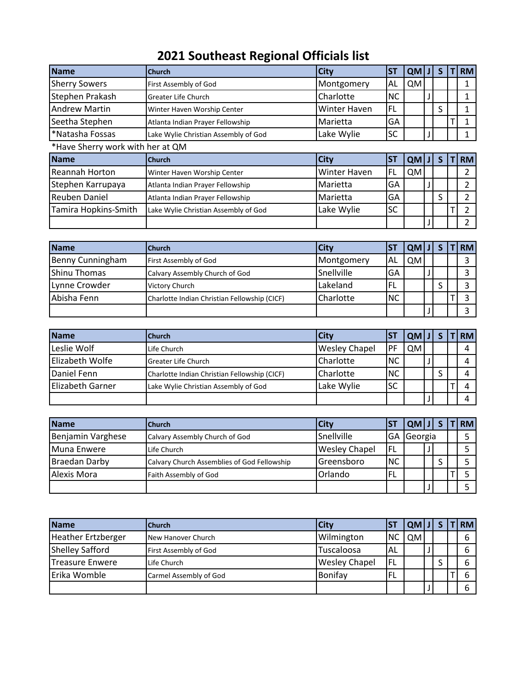## **2021 Southeast Regional Officials list**

| <b>Church</b>                        | <b>City</b>  | <b>ST</b> |           | S.            | <b>RM</b>      |
|--------------------------------------|--------------|-----------|-----------|---------------|----------------|
| First Assembly of God                | Montgomery   | AL        | QM        |               |                |
| <b>Greater Life Church</b>           | Charlotte    | NC.       |           |               |                |
| Winter Haven Worship Center          | Winter Haven | FL        |           | S             |                |
| Atlanta Indian Prayer Fellowship     | Marietta     | GA        |           |               |                |
| Lake Wylie Christian Assembly of God | Lake Wylie   | SC        |           |               |                |
| *Have Sherry work with her at QM     |              |           |           |               |                |
| Church                               | <b>City</b>  | <b>ST</b> |           | <sub>S</sub>  | <b>RM</b>      |
| Winter Haven Worship Center          | Winter Haven | FL        | <b>QM</b> |               | 2              |
| Atlanta Indian Prayer Fellowship     | Marietta     | GA        |           |               | 2              |
| Atlanta Indian Prayer Fellowship     | Marietta     | GA        |           | S             | $\overline{2}$ |
| Lake Wylie Christian Assembly of God | Lake Wylie   | SC        |           |               | 2              |
|                                      |              |           |           |               |                |
|                                      |              |           |           | QM J <br>QM J |                |

| <b>Name</b>      | <b>Church</b>                                | City       | IST       | QM J      |   | <b>TIRM</b> |
|------------------|----------------------------------------------|------------|-----------|-----------|---|-------------|
| Benny Cunningham | First Assembly of God                        | Montgomery | 'AL       | <b>QM</b> |   |             |
| Shinu Thomas     | Calvary Assembly Church of God               | Snellville | GA        |           |   |             |
| Lynne Crowder    | Victory Church                               | Lakeland   | <b>FL</b> |           | c |             |
| Abisha Fenn      | Charlotte Indian Christian Fellowship (CICF) | Charlotte  | <b>NC</b> |           |   |             |
|                  |                                              |            |           |           |   |             |

| Name                    | <b>Church</b>                                | <b>City</b>          | <b>ST</b>  | QM J |  | <b>RM</b> |
|-------------------------|----------------------------------------------|----------------------|------------|------|--|-----------|
| Leslie Wolf             | Life Church                                  | <b>Wesley Chapel</b> | IPF        | QM.  |  |           |
| Elizabeth Wolfe         | <b>Greater Life Church</b>                   | Charlotte            | <b>INC</b> |      |  |           |
| Daniel Fenn             | Charlotte Indian Christian Fellowship (CICF) | Charlotte            | <b>NC</b>  |      |  |           |
| <b>Elizabeth Garner</b> | Lake Wylie Christian Assembly of God         | Lake Wylie           | <b>SC</b>  |      |  |           |
|                         |                                              |                      |            |      |  |           |

| Name                 | <b>Church</b>                               | <b>City</b>          |           | $[QM][J]$ S    |  | T RM |
|----------------------|---------------------------------------------|----------------------|-----------|----------------|--|------|
| Benjamin Varghese    | Calvary Assembly Church of God              | Snellville           | IGA.      | <b>Georgia</b> |  |      |
| Muna Enwere          | Life Church                                 | <b>Wesley Chapel</b> | IFL.      |                |  |      |
| <b>Braedan Darby</b> | Calvary Church Assemblies of God Fellowship | Greensboro           | <b>NC</b> |                |  |      |
| Alexis Mora          | Faith Assembly of God                       | Orlando              | <b>FL</b> |                |  |      |
|                      |                                             |                      |           |                |  |      |

| <b>Name</b>               | <b>Church</b>          | <b>City</b>          | <b>IST</b> | QM J |  | <b>T RM </b> |
|---------------------------|------------------------|----------------------|------------|------|--|--------------|
| <b>Heather Ertzberger</b> | New Hanover Church     | Wilmington           | <b>NC</b>  | QM   |  |              |
| <b>Shelley Safford</b>    | First Assembly of God  | Tuscaloosa           | <b>AL</b>  |      |  |              |
| Treasure Enwere           | Life Church            | <b>Wesley Chapel</b> | IFL.       |      |  |              |
| Erika Womble              | Carmel Assembly of God | Bonifay              | FL         |      |  |              |
|                           |                        |                      |            |      |  |              |